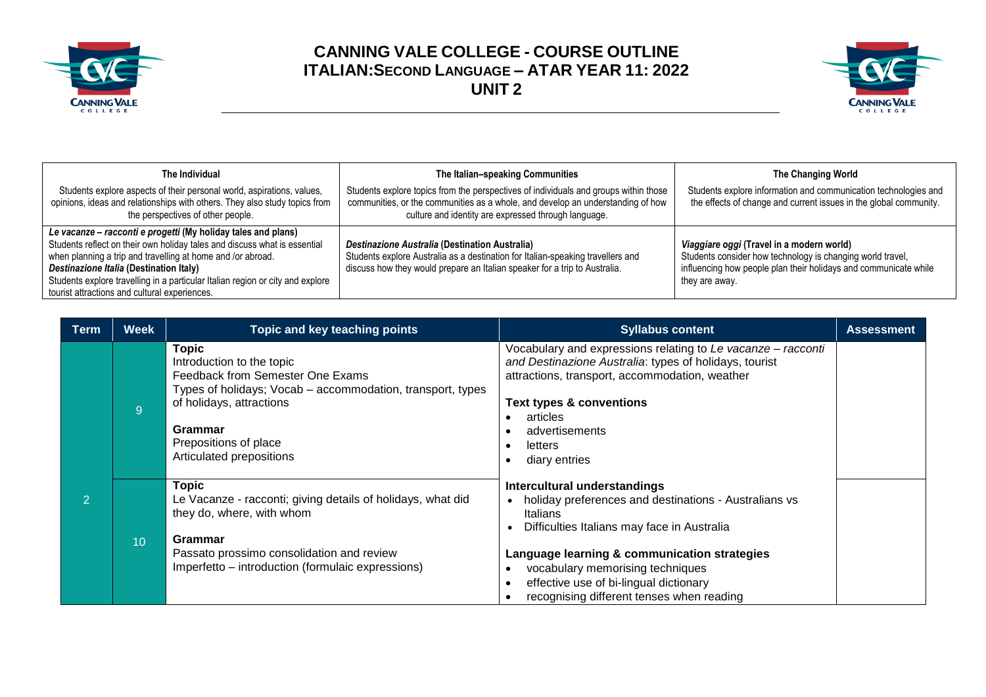



| The Individual                                                                                                                                                                                                                                                                                                                                                                          | The Italian-speaking Communities                                                                                                                                                                                                | The Changing World                                                                                                                                                                            |  |
|-----------------------------------------------------------------------------------------------------------------------------------------------------------------------------------------------------------------------------------------------------------------------------------------------------------------------------------------------------------------------------------------|---------------------------------------------------------------------------------------------------------------------------------------------------------------------------------------------------------------------------------|-----------------------------------------------------------------------------------------------------------------------------------------------------------------------------------------------|--|
| Students explore aspects of their personal world, aspirations, values,<br>opinions, ideas and relationships with others. They also study topics from<br>the perspectives of other people.                                                                                                                                                                                               | Students explore topics from the perspectives of individuals and groups within those<br>communities, or the communities as a whole, and develop an understanding of how<br>culture and identity are expressed through language. | Students explore information and communication technologies and<br>the effects of change and current issues in the global community.                                                          |  |
| Le vacanze – racconti e progetti (My holiday tales and plans)<br>Students reflect on their own holiday tales and discuss what is essential<br>when planning a trip and travelling at home and /or abroad.<br>Destinazione Italia (Destination Italy)<br>Students explore travelling in a particular Italian region or city and explore<br>tourist attractions and cultural experiences. | Destinazione Australia (Destination Australia)<br>Students explore Australia as a destination for Italian-speaking travellers and<br>discuss how they would prepare an Italian speaker for a trip to Australia.                 | Viaggiare oggi (Travel in a modern world)<br>Students consider how technology is changing world travel,<br>influencing how people plan their holidays and communicate while<br>they are away. |  |

| Term           | <b>Week</b>     | Topic and key teaching points                                                                                                                                                                                                           | <b>Syllabus content</b>                                                                                                                                                                                                                                                                                                     | <b>Assessment</b> |
|----------------|-----------------|-----------------------------------------------------------------------------------------------------------------------------------------------------------------------------------------------------------------------------------------|-----------------------------------------------------------------------------------------------------------------------------------------------------------------------------------------------------------------------------------------------------------------------------------------------------------------------------|-------------------|
|                | 9 <sup>°</sup>  | <b>Topic</b><br>Introduction to the topic<br>Feedback from Semester One Exams<br>Types of holidays; Vocab – accommodation, transport, types<br>of holidays, attractions<br>Grammar<br>Prepositions of place<br>Articulated prepositions | Vocabulary and expressions relating to Le vacanze - racconti<br>and Destinazione Australia: types of holidays, tourist<br>attractions, transport, accommodation, weather<br><b>Text types &amp; conventions</b><br>articles<br>advertisements<br>letters<br>diary entries                                                   |                   |
| $\overline{2}$ | 10 <sup>°</sup> | <b>Topic</b><br>Le Vacanze - racconti; giving details of holidays, what did<br>they do, where, with whom<br>Grammar<br>Passato prossimo consolidation and review<br>Imperfetto – introduction (formulaic expressions)                   | Intercultural understandings<br>holiday preferences and destinations - Australians vs<br>Italians<br>Difficulties Italians may face in Australia<br>Language learning & communication strategies<br>vocabulary memorising techniques<br>effective use of bi-lingual dictionary<br>recognising different tenses when reading |                   |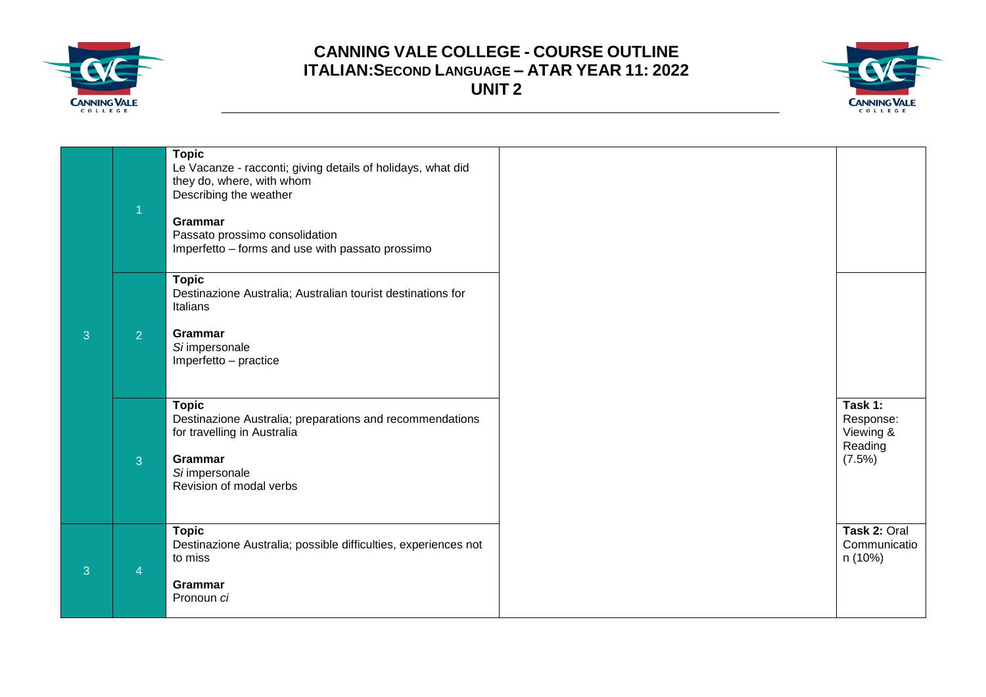



|   | $\overline{1}$ | <b>Topic</b><br>Le Vacanze - racconti; giving details of holidays, what did<br>they do, where, with whom<br>Describing the weather<br><b>Grammar</b><br>Passato prossimo consolidation<br>Imperfetto - forms and use with passato prossimo |                                                        |
|---|----------------|--------------------------------------------------------------------------------------------------------------------------------------------------------------------------------------------------------------------------------------------|--------------------------------------------------------|
| 3 | 2 <sup>1</sup> | <b>Topic</b><br>Destinazione Australia; Australian tourist destinations for<br>Italians<br>Grammar<br>Si impersonale<br>Imperfetto - practice                                                                                              |                                                        |
|   | 3              | <b>Topic</b><br>Destinazione Australia; preparations and recommendations<br>for travelling in Australia<br>Grammar<br>Si impersonale<br>Revision of modal verbs                                                                            | Task 1:<br>Response:<br>Viewing &<br>Reading<br>(7.5%) |
| 3 | $\overline{4}$ | <b>Topic</b><br>Destinazione Australia; possible difficulties, experiences not<br>to miss<br>Grammar<br>Pronoun ci                                                                                                                         | Task 2: Oral<br>Communicatio<br>n (10%)                |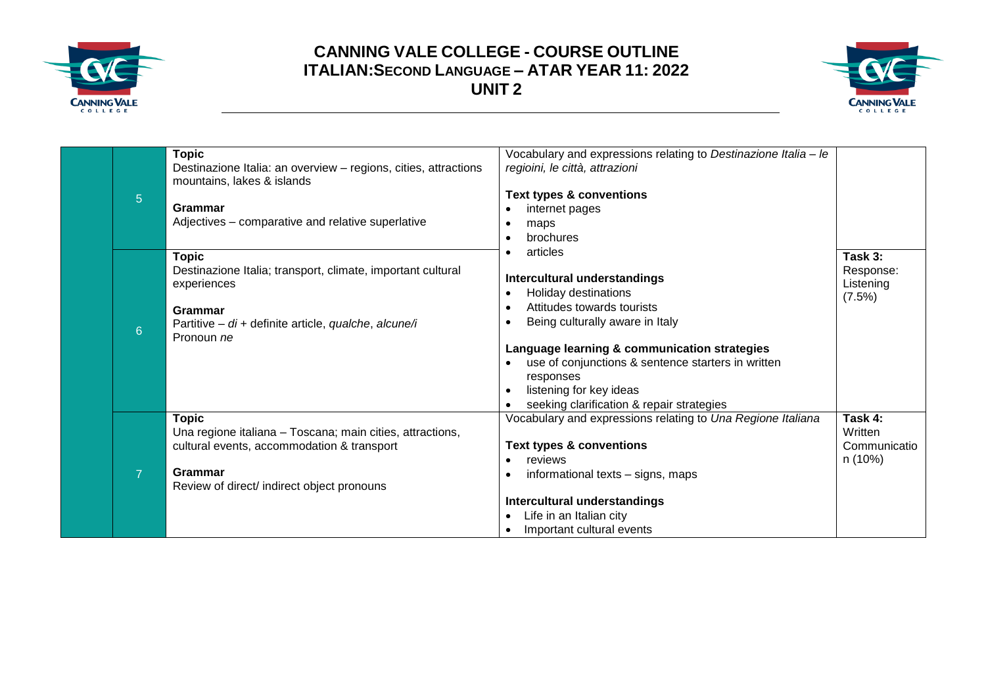



| $\overline{5}$ | <b>Topic</b><br>Destinazione Italia: an overview - regions, cities, attractions<br>mountains, lakes & islands<br>Grammar<br>Adjectives - comparative and relative superlative    | Vocabulary and expressions relating to Destinazione Italia - le<br>regioini, le città, attrazioni<br><b>Text types &amp; conventions</b><br>internet pages<br>maps<br>brochures<br>٠                                                                                                                                                                                             |                                               |
|----------------|----------------------------------------------------------------------------------------------------------------------------------------------------------------------------------|----------------------------------------------------------------------------------------------------------------------------------------------------------------------------------------------------------------------------------------------------------------------------------------------------------------------------------------------------------------------------------|-----------------------------------------------|
| $6\phantom{1}$ | <b>Topic</b><br>Destinazione Italia; transport, climate, important cultural<br>experiences<br>Grammar<br>Partitive - di + definite article, qualche, alcune/i<br>Pronoun ne      | articles<br>$\bullet$<br>Intercultural understandings<br>Holiday destinations<br>$\bullet$<br>Attitudes towards tourists<br>$\bullet$<br>Being culturally aware in Italy<br>Language learning & communication strategies<br>use of conjunctions & sentence starters in written<br>responses<br>listening for key ideas<br>$\bullet$<br>seeking clarification & repair strategies | Task 3:<br>Response:<br>Listening<br>(7.5%)   |
| $\overline{7}$ | <b>Topic</b><br>Una regione italiana - Toscana; main cities, attractions,<br>cultural events, accommodation & transport<br>Grammar<br>Review of direct/ indirect object pronouns | Vocabulary and expressions relating to Una Regione Italiana<br><b>Text types &amp; conventions</b><br>reviews<br>$\bullet$<br>informational texts - signs, maps<br>$\bullet$<br>Intercultural understandings<br>Life in an Italian city<br>$\bullet$<br>Important cultural events                                                                                                | Task 4:<br>Written<br>Communicatio<br>n (10%) |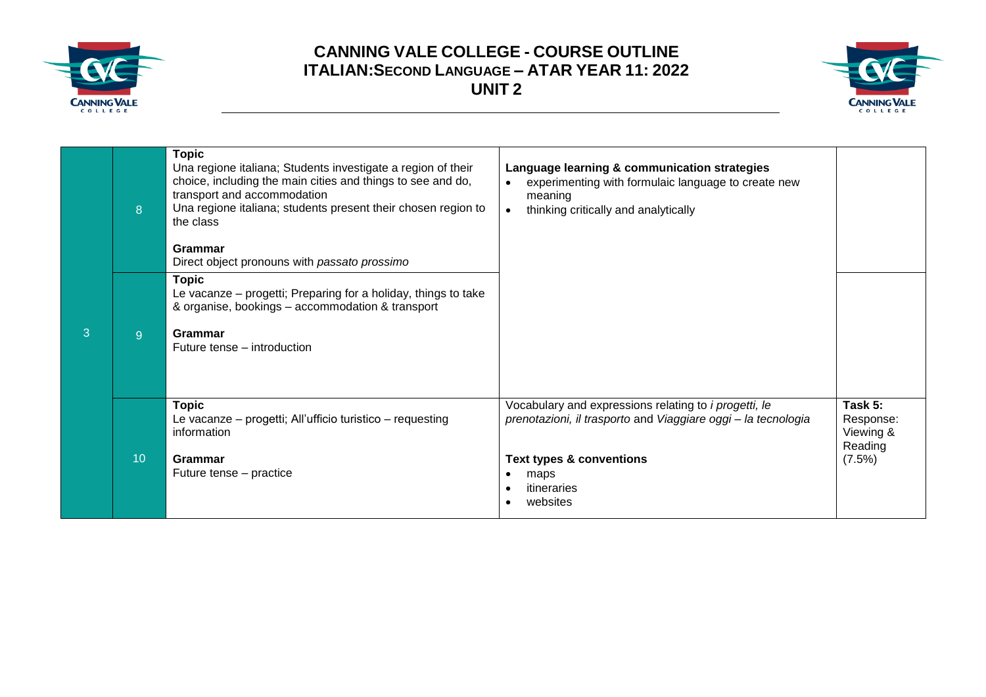



|   | 8              | <b>Topic</b><br>Una regione italiana; Students investigate a region of their<br>choice, including the main cities and things to see and do,<br>transport and accommodation<br>Una regione italiana; students present their chosen region to<br>the class<br>Grammar<br>Direct object pronouns with passato prossimo | Language learning & communication strategies<br>experimenting with formulaic language to create new<br>meaning<br>thinking critically and analytically<br>$\bullet$                                          |                                                        |
|---|----------------|---------------------------------------------------------------------------------------------------------------------------------------------------------------------------------------------------------------------------------------------------------------------------------------------------------------------|--------------------------------------------------------------------------------------------------------------------------------------------------------------------------------------------------------------|--------------------------------------------------------|
| 3 | 9 <sup>°</sup> | <b>Topic</b><br>Le vacanze - progetti; Preparing for a holiday, things to take<br>& organise, bookings - accommodation & transport<br>Grammar<br>Future tense – introduction                                                                                                                                        |                                                                                                                                                                                                              |                                                        |
|   | 10             | <b>Topic</b><br>Le vacanze - progetti; All'ufficio turistico - requesting<br>information<br>Grammar<br>Future tense – practice                                                                                                                                                                                      | Vocabulary and expressions relating to <i>i progetti, le</i><br>prenotazioni, il trasporto and Viaggiare oggi - la tecnologia<br><b>Text types &amp; conventions</b><br>maps<br>itineraries<br>٠<br>websites | Task 5:<br>Response:<br>Viewing &<br>Reading<br>(7.5%) |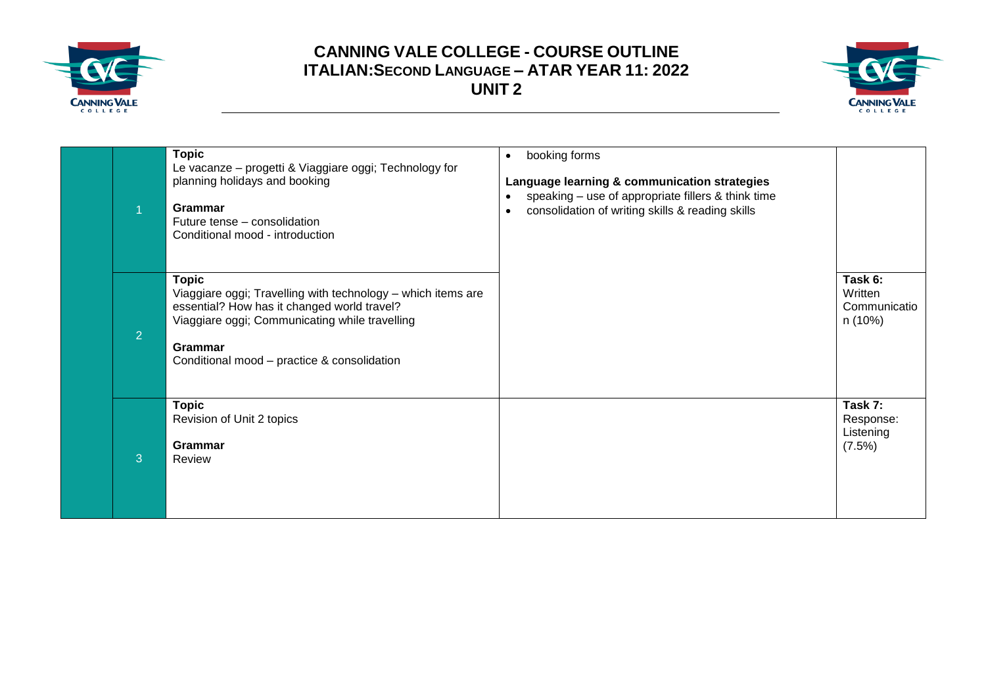



|                | <b>Topic</b><br>Le vacanze - progetti & Viaggiare oggi; Technology for<br>planning holidays and booking<br>Grammar<br>Future tense - consolidation<br>Conditional mood - introduction                                                   | booking forms<br>$\bullet$<br>Language learning & communication strategies<br>speaking - use of appropriate fillers & think time<br>consolidation of writing skills & reading skills |                                               |
|----------------|-----------------------------------------------------------------------------------------------------------------------------------------------------------------------------------------------------------------------------------------|--------------------------------------------------------------------------------------------------------------------------------------------------------------------------------------|-----------------------------------------------|
| $\overline{2}$ | <b>Topic</b><br>Viaggiare oggi; Travelling with technology - which items are<br>essential? How has it changed world travel?<br>Viaggiare oggi; Communicating while travelling<br>Grammar<br>Conditional mood - practice & consolidation |                                                                                                                                                                                      | Task 6:<br>Written<br>Communicatio<br>n (10%) |
| 3              | <b>Topic</b><br>Revision of Unit 2 topics<br>Grammar<br>Review                                                                                                                                                                          |                                                                                                                                                                                      | Task 7:<br>Response:<br>Listening<br>(7.5%)   |